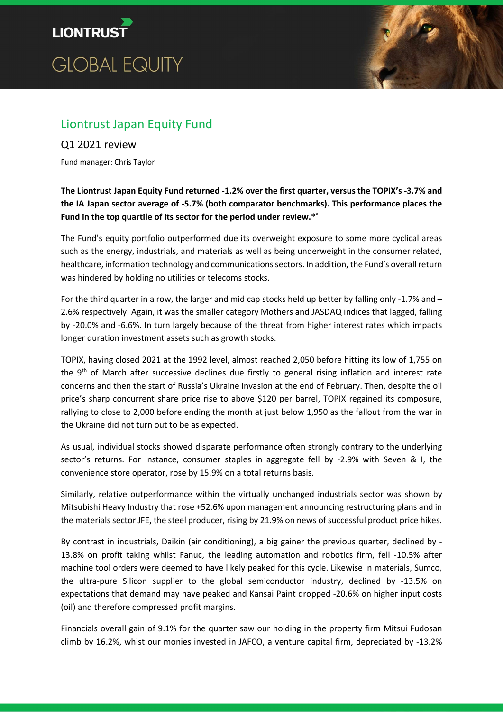



# Liontrust Japan Equity Fund

## Q1 2021 review

Fund manager: Chris Taylor

The Liontrust Japan Equity Fund returned -1.2% over the first quarter, versus the TOPIX's -3.7% and the IA Japan sector average of -5.7% (both comparator benchmarks). This performance places the Fund in the top quartile of its sector for the period under review.\*^

The Fund's equity portfolio outperformed due its overweight exposure to some more cyclical areas such as the energy, industrials, and materials as well as being underweight in the consumer related, healthcare, information technology and communications sectors. In addition, the Fund's overall return was hindered by holding no utilities or telecoms stocks.

For the third quarter in a row, the larger and mid cap stocks held up better by falling only -1.7% and – 2.6% respectively. Again, it was the smaller category Mothers and JASDAQ indices that lagged, falling by -20.0% and -6.6%. In turn largely because of the threat from higher interest rates which impacts longer duration investment assets such as growth stocks.

TOPIX, having closed 2021 at the 1992 level, almost reached 2,050 before hitting its low of 1,755 on the 9<sup>th</sup> of March after successive declines due firstly to general rising inflation and interest rate concerns and then the start of Russia's Ukraine invasion at the end of February. Then, despite the oil price's sharp concurrent share price rise to above \$120 per barrel, TOPIX regained its composure, rallying to close to 2,000 before ending the month at just below 1,950 as the fallout from the war in the Ukraine did not turn out to be as expected.

As usual, individual stocks showed disparate performance often strongly contrary to the underlying sector's returns. For instance, consumer staples in aggregate fell by -2.9% with Seven & I, the convenience store operator, rose by 15.9% on a total returns basis.

Similarly, relative outperformance within the virtually unchanged industrials sector was shown by Mitsubishi Heavy Industry that rose +52.6% upon management announcing restructuring plans and in the materials sector JFE, the steel producer, rising by 21.9% on news of successful product price hikes.

By contrast in industrials, Daikin (air conditioning), a big gainer the previous quarter, declined by - 13.8% on profit taking whilst Fanuc, the leading automation and robotics firm, fell -10.5% after machine tool orders were deemed to have likely peaked for this cycle. Likewise in materials, Sumco, the ultra-pure Silicon supplier to the global semiconductor industry, declined by -13.5% on expectations that demand may have peaked and Kansai Paint dropped -20.6% on higher input costs (oil) and therefore compressed profit margins.

Financials overall gain of 9.1% for the quarter saw our holding in the property firm Mitsui Fudosan climb by 16.2%, whist our monies invested in JAFCO, a venture capital firm, depreciated by -13.2%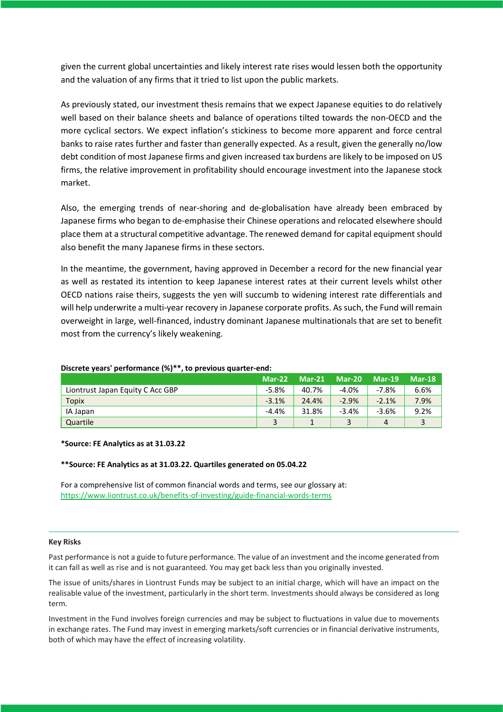given the current global uncertainties and likely interest rate rises would lessen both the opportunity and the valuation of any firms that it tried to list upon the public markets.

As previously stated, our investment thesis remains that we expect Japanese equities to do relatively well based on their balance sheets and balance of operations tilted towards the non-OECD and the more cyclical sectors. We expect inflation's stickiness to become more apparent and force central banks to raise rates further and faster than generally expected. As a result, given the generally no/low debt condition of most Japanese firms and given increased tax burdens are likely to be imposed on US firms, the relative improvement in profitability should encourage investment into the Japanese stock market.

Also, the emerging trends of near-shoring and de-globalisation have already been embraced by Japanese firms who began to de-emphasise their Chinese operations and relocated elsewhere should place them at a structural competitive advantage. The renewed demand for capital equipment should also benefit the many Japanese firms in these sectors.

In the meantime, the government, having approved in December a record for the new financial year as well as restated its intention to keep Japanese interest rates at their current levels whilst other OECD nations raise theirs, suggests the yen will succumb to widening interest rate differentials and will help underwrite a multi-year recovery in Japanese corporate profits. As such, the Fund will remain overweight in large, well-financed, industry dominant Japanese multinationals that are set to benefit most from the currency's likely weakening.

|                                  | $Mar-22$ | $Mar-21$ | <b>Mar-20</b> | $Mar-19$ | <b>Mar-18</b> |
|----------------------------------|----------|----------|---------------|----------|---------------|
| Liontrust Japan Equity C Acc GBP | $-5.8%$  | 40.7%    | $-4.0\%$      | $-7.8%$  | 6.6%          |
| <b>Topix</b>                     | $-3.1%$  | 24.4%    | $-2.9%$       | $-2.1%$  | 7.9%          |
| IA Japan                         | $-4.4%$  | 31.8%    | $-3.4%$       | $-3.6%$  | 9.2%          |
| Quartile                         |          |          |               | 4        |               |

### Discrete years' performance (%)\*\*, to previous quarter-end:

#### \*Source: FE Analytics as at 31.03.22

#### \*\*Source: FE Analytics as at 31.03.22. Quartiles generated on 05.04.22

For a comprehensive list of common financial words and terms, see our glossary at: https://www.liontrust.co.uk/benefits-of-investing/guide-financial-words-terms

#### Key Risks

Past performance is not a guide to future performance. The value of an investment and the income generated from it can fall as well as rise and is not guaranteed. You may get back less than you originally invested.

The issue of units/shares in Liontrust Funds may be subject to an initial charge, which will have an impact on the realisable value of the investment, particularly in the short term. Investments should always be considered as long term.

Investment in the Fund involves foreign currencies and may be subject to fluctuations in value due to movements in exchange rates. The Fund may invest in emerging markets/soft currencies or in financial derivative instruments, both of which may have the effect of increasing volatility.